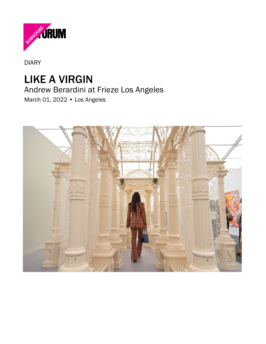

[DIARY](https://www.artforum.com/diary)

## [LIKE A VIRGIN](https://www.artforum.com/diary/andrew-berardini-at-frieze-los-angeles-88033)

## Andrew Berardini at Frieze Los Angeles

March 01, 2022 • Los Angeles

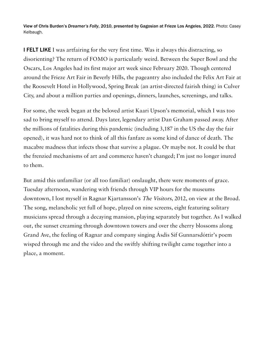View of Chris Burden's Dreamer's Folly, 2010, presented by Gagosian at Frieze Los Angeles, 2022. Photo: Casey Kelbaugh.

**I FELT LIKE** I was artfairing for the very first time. Was it always this distracting, so disorienting? The return of FOMO is particularly weird. Between the Super Bowl and the Oscars, Los Angeles had its first major art week since February 2020. Though centered around the Frieze Art Fair in Beverly Hills, the pageantry also included the Felix Art Fair at the Roosevelt Hotel in Hollywood, Spring Break (an artist-directed fairish thing) in Culver City, and about a million parties and openings, dinners, launches, screenings, and talks.

For some, the week began at the beloved artist Kaari Upson's memorial, which I was too sad to bring myself to attend. Days later, legendary artist Dan Graham passed away. After the millions of fatalities during this pandemic (including 3,187 in the US the day the fair opened), it was hard not to think of all this fanfare as some kind of dance of death. The macabre madness that infects those that survive a plague. Or maybe not. It could be that the frenzied mechanisms of art and commerce haven't changed; I'm just no longer inured to them.

But amid this unfamiliar (or all too familiar) onslaught, there were moments of grace. Tuesday afternoon, wandering with friends through VIP hours for the museums downtown, I lost myself in Ragnar Kjartansson's The Visitors, 2012, on view at the Broad. The song, melancholic yet full of hope, played on nine screens, eight featuring solitary musicians spread through a decaying mansion, playing separately but together. As I walked out, the sunset creaming through downtown towers and over the cherry blossoms along Grand Ave, the feeling of Ragnar and company singing Ásdís Sif Gunnarsdóttir's poem wisped through me and the video and the swiftly shifting twilight came together into a place, a moment.